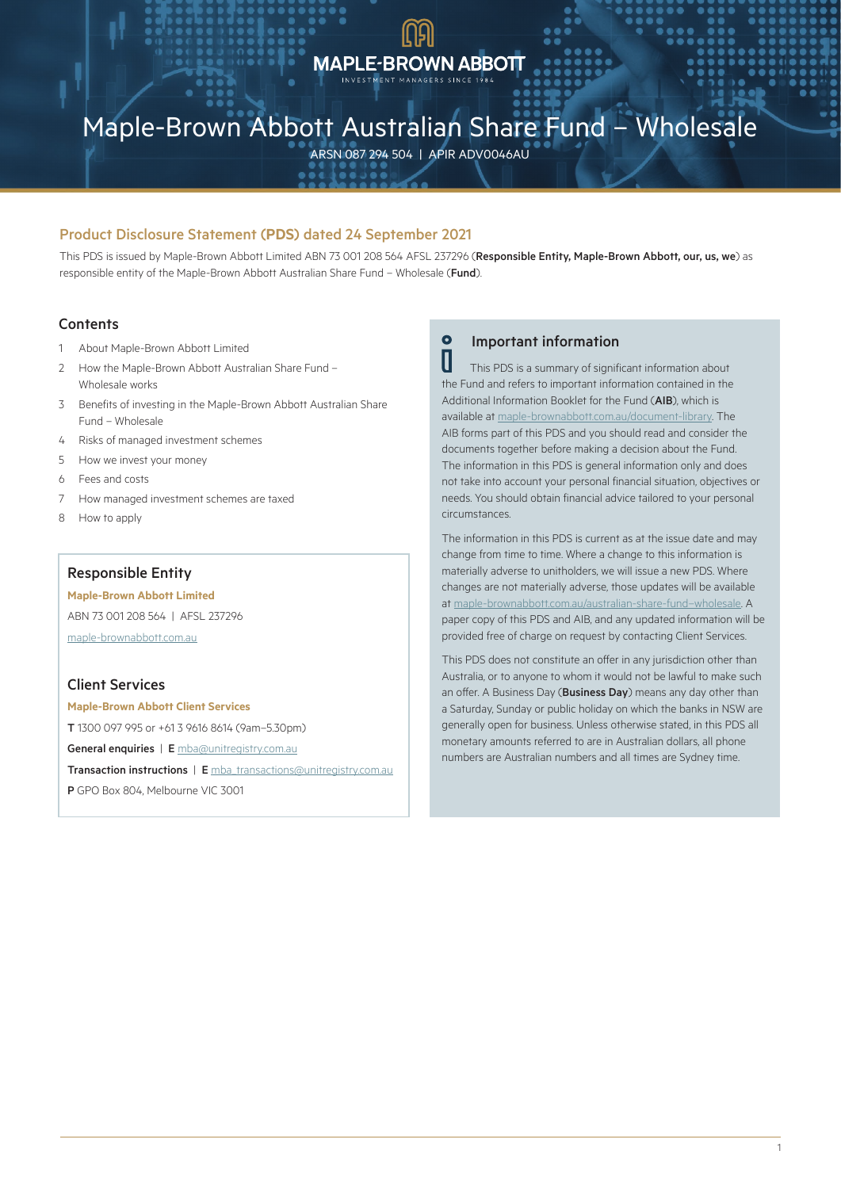# **MAPLE-BROWN ABBOTT**

# Maple-Brown Abbott Australian Share Fund – Wholesale

ARSN 087 294 504 | APIR ADV0046AU

# Product Disclosure Statement (**PDS**) dated 24 September 2021

This PDS is issued by Maple-Brown Abbott Limited ABN 73 001 208 564 AFSL 237296 (Responsible Entity, Maple-Brown Abbott, our, us, we) as responsible entity of the Maple-Brown Abbott Australian Share Fund – Wholesale (Fund).

# **Contents**

- 1 About Maple-Brown Abbott Limited
- 2 How the Maple-Brown Abbott Australian Share Fund Wholesale works
- 3 Benefits of investing in the Maple-Brown Abbott Australian Share Fund – Wholesale
- 4 Risks of managed investment schemes
- 5 How we invest your money
- 6 Fees and costs
- 7 How managed investment schemes are taxed
- 8 How to apply

# Responsible Entity

### **Maple-Brown Abbott Limited**

ABN 73 001 208 564 | AFSL 237296 [maple-brownabbott.com.au](http://www.maple-brownabbott.com.au)

# Client Services

**Maple-Brown Abbott Client Services** T 1300 097 995 or +61 3 9616 8614 (9am–5.30pm) General enquiries | E [mba@unitregistry.com.au](mailto:mba%40unitregistry.com.au?subject=Maple-Brown%20Abbott) Transaction instructions | E [mba\\_transactions@unitregistry.com.au](mailto:mba_transactions%40unitregistry.com.au?subject=Maple-Brown%20Abbott) P GPO Box 804, Melbourne VIC 3001

# **O** Important information

 This PDS is a summary of significant information about the Fund and refers to important information contained in the Additional Information Booklet for the Fund (AIB), which is available at [maple-brownabbott.com.au/document-library](http://www.maple-brownabbott.com.au/document-library). The AIB forms part of this PDS and you should read and consider the documents together before making a decision about the Fund. The information in this PDS is general information only and does not take into account your personal financial situation, objectives or needs. You should obtain financial advice tailored to your personal circumstances.

The information in this PDS is current as at the issue date and may change from time to time. Where a change to this information is materially adverse to unitholders, we will issue a new PDS. Where changes are not materially adverse, those updates will be available at [maple-brownabbott.com.au/australian-share-fund–wholesale.](https://www.maple-brownabbott.com.au/australian-share-fund-wholesale) A paper copy of this PDS and AIB, and any updated information will be provided free of charge on request by contacting Client Services.

This PDS does not constitute an offer in any jurisdiction other than Australia, or to anyone to whom it would not be lawful to make such an offer. A Business Day (Business Day) means any day other than a Saturday, Sunday or public holiday on which the banks in NSW are generally open for business. Unless otherwise stated, in this PDS all monetary amounts referred to are in Australian dollars, all phone numbers are Australian numbers and all times are Sydney time.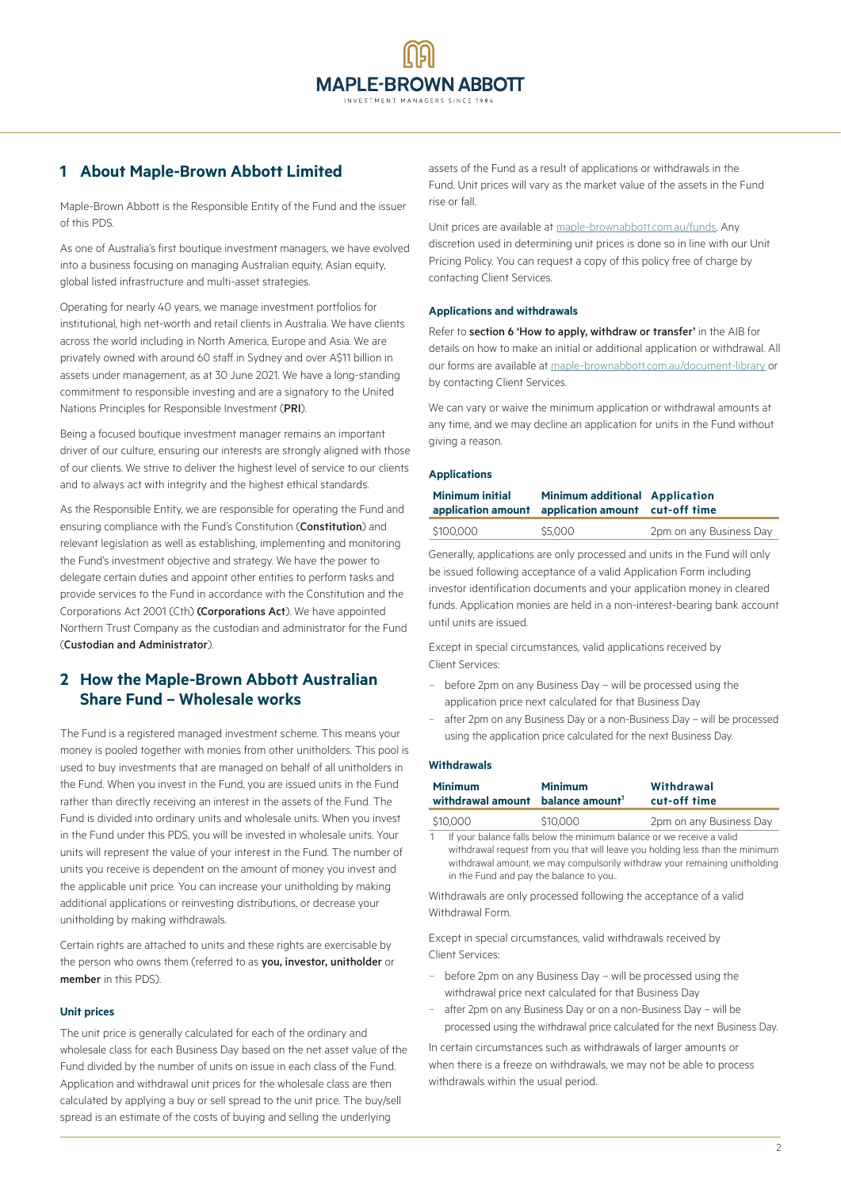# **1 About Maple-Brown Abbott Limited**

Maple-Brown Abbott is the Responsible Entity of the Fund and the issuer of this PDS.

As one of Australia's first boutique investment managers, we have evolved into a business focusing on managing Australian equity, Asian equity, global listed infrastructure and multi-asset strategies.

Operating for nearly 40 years, we manage investment portfolios for institutional, high net-worth and retail clients in Australia. We have clients across the world including in North America, Europe and Asia. We are privately owned with around 60 staff in Sydney and over A\$11 billion in assets under management, as at 30 June 2021. We have a long-standing commitment to responsible investing and are a signatory to the United Nations Principles for Responsible Investment (PRI).

Being a focused boutique investment manager remains an important driver of our culture, ensuring our interests are strongly aligned with those of our clients. We strive to deliver the highest level of service to our clients and to always act with integrity and the highest ethical standards.

As the Responsible Entity, we are responsible for operating the Fund and ensuring compliance with the Fund's Constitution (Constitution) and relevant legislation as well as establishing, implementing and monitoring the Fund's investment objective and strategy. We have the power to delegate certain duties and appoint other entities to perform tasks and provide services to the Fund in accordance with the Constitution and the Corporations Act 2001 (Cth) (Corporations Act). We have appointed Northern Trust Company as the custodian and administrator for the Fund (Custodian and Administrator).

# **2 How the Maple-Brown Abbott Australian Share Fund – Wholesale works**

The Fund is a registered managed investment scheme. This means your money is pooled together with monies from other unitholders. This pool is used to buy investments that are managed on behalf of all unitholders in the Fund. When you invest in the Fund, you are issued units in the Fund rather than directly receiving an interest in the assets of the Fund. The Fund is divided into ordinary units and wholesale units. When you invest in the Fund under this PDS, you will be invested in wholesale units. Your units will represent the value of your interest in the Fund. The number of units you receive is dependent on the amount of money you invest and the applicable unit price. You can increase your unitholding by making additional applications or reinvesting distributions, or decrease your unitholding by making withdrawals.

Certain rights are attached to units and these rights are exercisable by the person who owns them (referred to as you, investor, unitholder or member in this PDS).

## **Unit prices**

The unit price is generally calculated for each of the ordinary and wholesale class for each Business Day based on the net asset value of the Fund divided by the number of units on issue in each class of the Fund. Application and withdrawal unit prices for the wholesale class are then calculated by applying a buy or sell spread to the unit price. The buy/sell spread is an estimate of the costs of buying and selling the underlying

assets of the Fund as a result of applications or withdrawals in the Fund. Unit prices will vary as the market value of the assets in the Fund rise or fall.

Unit prices are available at [maple-brownabbott.com.au/funds](http://www.maple-brownabbott.com.au/funds). Any discretion used in determining unit prices is done so in line with our Unit Pricing Policy. You can request a copy of this policy free of charge by contacting Client Services.

### **Applications and withdrawals**

Refer to section 6 'How to apply, withdraw or transfer' in the AIB for details on how to make an initial or additional application or withdrawal. All our forms are available at [maple-brownabbott.com.au/document-library](http://maple-brownabbott.com.au/document-library) or by contacting Client Services.

We can vary or waive the minimum application or withdrawal amounts at any time, and we may decline an application for units in the Fund without giving a reason.

### **Applications**

| <b>Minimum initial</b> | <b>Minimum additional Application</b><br>application amount application amount cut-off time |                         |  |
|------------------------|---------------------------------------------------------------------------------------------|-------------------------|--|
| \$100.000              | \$5,000                                                                                     | 2pm on any Business Day |  |

Generally, applications are only processed and units in the Fund will only be issued following acceptance of a valid Application Form including investor identification documents and your application money in cleared funds. Application monies are held in a non-interest-bearing bank account until units are issued.

Except in special circumstances, valid applications received by Client Services:

- − before 2pm on any Business Day will be processed using the application price next calculated for that Business Day
- after 2pm on any Business Day or a non-Business Day will be processed using the application price calculated for the next Business Day.

#### **Withdrawals**

| <b>Minimum</b><br>withdrawal amount balance amount <sup>1</sup>                                                                                                                                                                  | <b>Minimum</b> | Withdrawal<br>cut-off time |
|----------------------------------------------------------------------------------------------------------------------------------------------------------------------------------------------------------------------------------|----------------|----------------------------|
| \$10,000                                                                                                                                                                                                                         | \$10,000       | 2pm on any Business Day    |
| $A \cup B$ , and the state of the state of the state of the state of the state of the state of the state of the state of the state of the state of the state of the state of the state of the state of the state of the state of |                |                            |

If your balance falls below the minimum balance or we receive a valid withdrawal request from you that will leave you holding less than the minimum withdrawal amount, we may compulsorily withdraw your remaining unitholding in the Fund and pay the balance to you..

Withdrawals are only processed following the acceptance of a valid Withdrawal Form.

Except in special circumstances, valid withdrawals received by Client Services:

- − before 2pm on any Business Day will be processed using the withdrawal price next calculated for that Business Day
- − after 2pm on any Business Day or on a non-Business Day will be processed using the withdrawal price calculated for the next Business Day.

In certain circumstances such as withdrawals of larger amounts or when there is a freeze on withdrawals, we may not be able to process withdrawals within the usual period.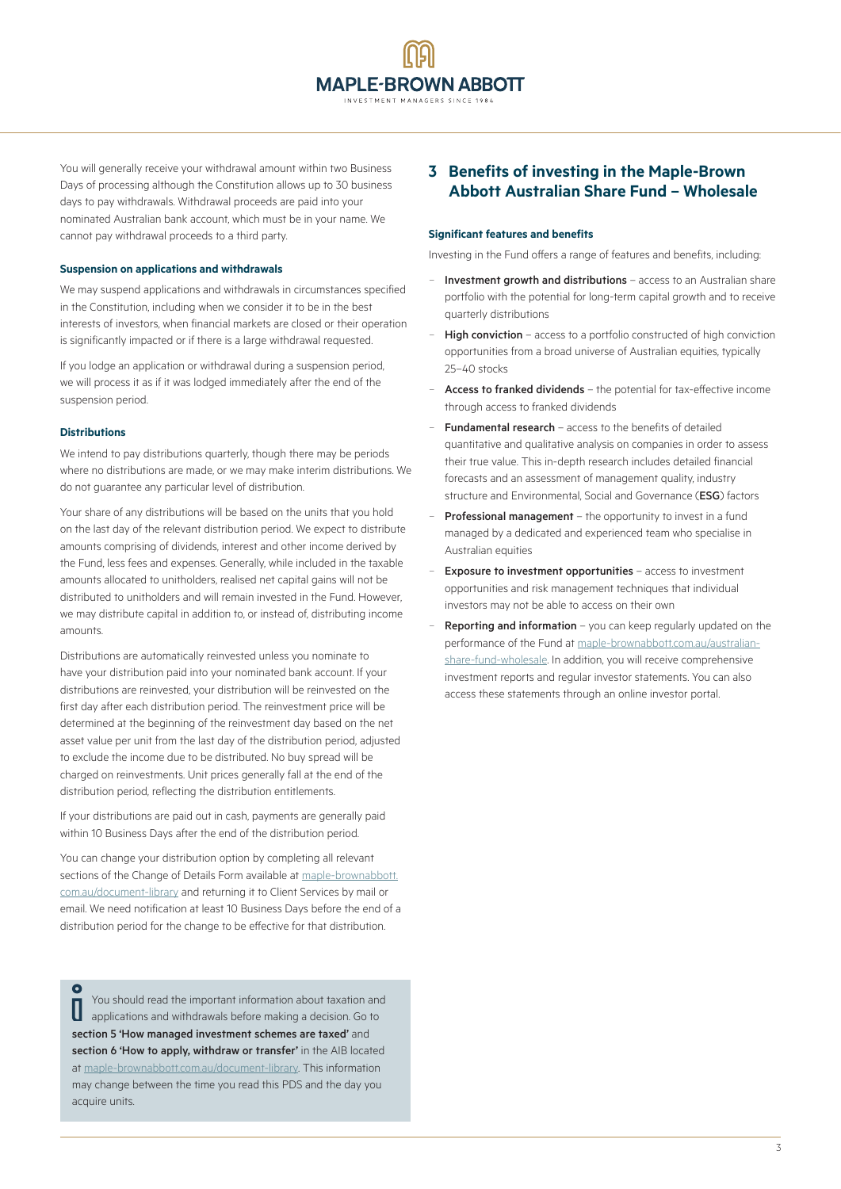You will generally receive your withdrawal amount within two Business Days of processing although the Constitution allows up to 30 business days to pay withdrawals. Withdrawal proceeds are paid into your nominated Australian bank account, which must be in your name. We cannot pay withdrawal proceeds to a third party.

## **Suspension on applications and withdrawals**

We may suspend applications and withdrawals in circumstances specified in the Constitution, including when we consider it to be in the best interests of investors, when financial markets are closed or their operation is significantly impacted or if there is a large withdrawal requested.

If you lodge an application or withdrawal during a suspension period, we will process it as if it was lodged immediately after the end of the suspension period.

## **Distributions**

We intend to pay distributions quarterly, though there may be periods where no distributions are made, or we may make interim distributions. We do not guarantee any particular level of distribution.

Your share of any distributions will be based on the units that you hold on the last day of the relevant distribution period. We expect to distribute amounts comprising of dividends, interest and other income derived by the Fund, less fees and expenses. Generally, while included in the taxable amounts allocated to unitholders, realised net capital gains will not be distributed to unitholders and will remain invested in the Fund. However, we may distribute capital in addition to, or instead of, distributing income amounts.

Distributions are automatically reinvested unless you nominate to have your distribution paid into your nominated bank account. If your distributions are reinvested, your distribution will be reinvested on the first day after each distribution period. The reinvestment price will be determined at the beginning of the reinvestment day based on the net asset value per unit from the last day of the distribution period, adjusted to exclude the income due to be distributed. No buy spread will be charged on reinvestments. Unit prices generally fall at the end of the distribution period, reflecting the distribution entitlements.

If your distributions are paid out in cash, payments are generally paid within 10 Business Days after the end of the distribution period.

You can change your distribution option by completing all relevant sections of the Change of Details Form available at [maple-brownabbott.](http://www.maple-brownabbott.com.au/document-library) [com.au/document-library](http://www.maple-brownabbott.com.au/document-library) and returning it to Client Services by mail or email. We need notification at least 10 Business Days before the end of a distribution period for the change to be effective for that distribution.

 $\Omega$ You should read the important information about taxation and Ш applications and withdrawals before making a decision. Go to section 5 'How managed investment schemes are taxed' and section 6 'How to apply, withdraw or transfer' in the AIB located at [maple-brownabbott.com.au/document-library](http://maple-brownabbott.com.au/document-library). This information may change between the time you read this PDS and the day you acquire units.

# **3 Benefits of investing in the Maple-Brown Abbott Australian Share Fund – Wholesale**

#### **Significant features and benefits**

Investing in the Fund offers a range of features and benefits, including:

- − Investment growth and distributions access to an Australian share portfolio with the potential for long-term capital growth and to receive quarterly distributions
- High conviction access to a portfolio constructed of high conviction opportunities from a broad universe of Australian equities, typically 25–40 stocks
- − Access to franked dividends the potential for tax-effective income through access to franked dividends
- Fundamental research access to the benefits of detailed quantitative and qualitative analysis on companies in order to assess their true value. This in-depth research includes detailed financial forecasts and an assessment of management quality, industry structure and Environmental, Social and Governance (ESG) factors
- Professional management the opportunity to invest in a fund managed by a dedicated and experienced team who specialise in Australian equities
- **Exposure to investment opportunities** access to investment opportunities and risk management techniques that individual investors may not be able to access on their own
- Reporting and information you can keep regularly updated on the performance of the Fund at [maple-brownabbott.com.au/australian](http://www.maple-brownabbott.com.au/australian-share-fund-wholesale)[share-fund-wholesale](http://www.maple-brownabbott.com.au/australian-share-fund-wholesale). In addition, you will receive comprehensive investment reports and regular investor statements. You can also access these statements through an online investor portal.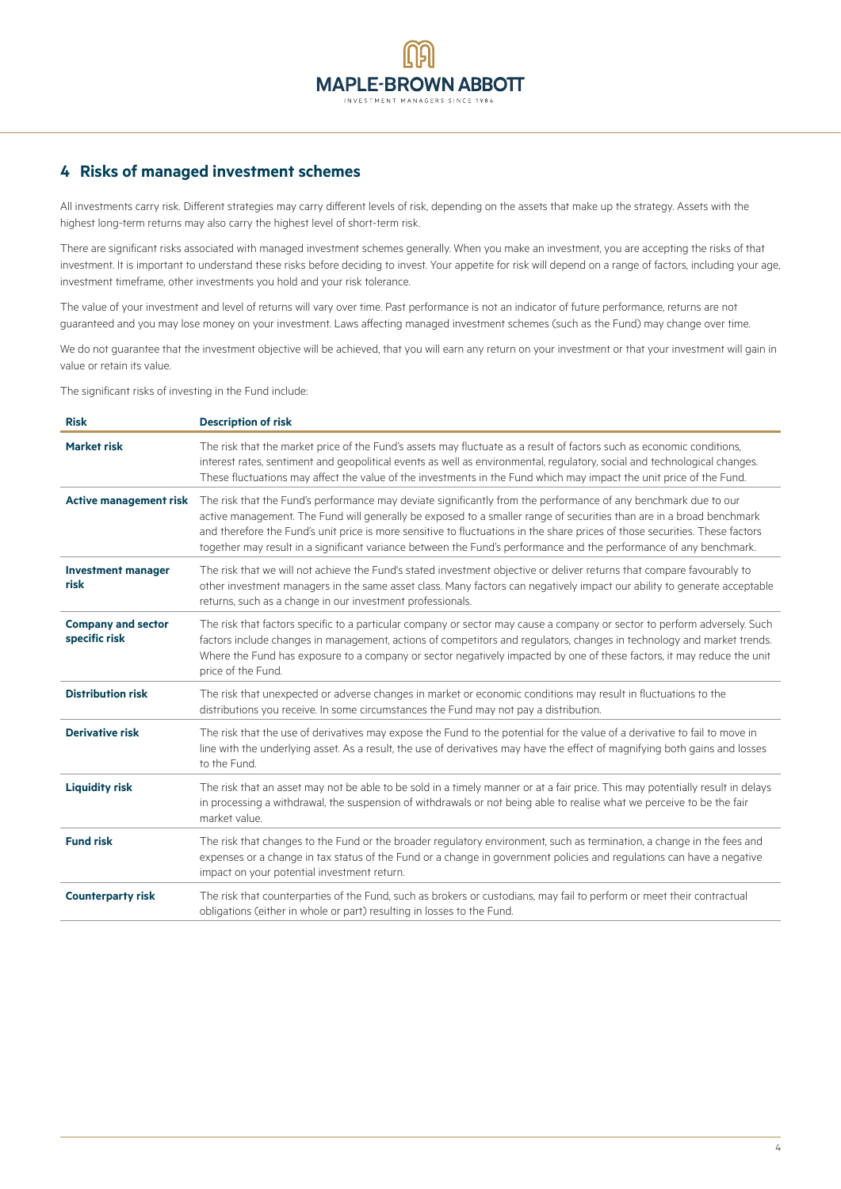# **4 Risks of managed investment schemes**

All investments carry risk. Different strategies may carry different levels of risk, depending on the assets that make up the strategy. Assets with the highest long-term returns may also carry the highest level of short-term risk.

There are significant risks associated with managed investment schemes generally. When you make an investment, you are accepting the risks of that investment. It is important to understand these risks before deciding to invest. Your appetite for risk will depend on a range of factors, including your age, investment timeframe, other investments you hold and your risk tolerance.

The value of your investment and level of returns will vary over time. Past performance is not an indicator of future performance, returns are not guaranteed and you may lose money on your investment. Laws affecting managed investment schemes (such as the Fund) may change over time.

We do not guarantee that the investment objective will be achieved, that you will earn any return on your investment or that your investment will gain in value or retain its value.

The significant risks of investing in the Fund include:

| <b>Risk</b>                                | <b>Description of risk</b>                                                                                                                                                                                                                                                                                                                                                                                                                                                                    |
|--------------------------------------------|-----------------------------------------------------------------------------------------------------------------------------------------------------------------------------------------------------------------------------------------------------------------------------------------------------------------------------------------------------------------------------------------------------------------------------------------------------------------------------------------------|
| <b>Market risk</b>                         | The risk that the market price of the Fund's assets may fluctuate as a result of factors such as economic conditions,<br>interest rates, sentiment and geopolitical events as well as environmental, regulatory, social and technological changes.<br>These fluctuations may affect the value of the investments in the Fund which may impact the unit price of the Fund.                                                                                                                     |
| <b>Active management risk</b>              | The risk that the Fund's performance may deviate significantly from the performance of any benchmark due to our<br>active management. The Fund will generally be exposed to a smaller range of securities than are in a broad benchmark<br>and therefore the Fund's unit price is more sensitive to fluctuations in the share prices of those securities. These factors<br>together may result in a significant variance between the Fund's performance and the performance of any benchmark. |
| <b>Investment manager</b><br>risk          | The risk that we will not achieve the Fund's stated investment objective or deliver returns that compare favourably to<br>other investment managers in the same asset class. Many factors can negatively impact our ability to generate acceptable<br>returns, such as a change in our investment professionals.                                                                                                                                                                              |
| <b>Company and sector</b><br>specific risk | The risk that factors specific to a particular company or sector may cause a company or sector to perform adversely. Such<br>factors include changes in management, actions of competitors and regulators, changes in technology and market trends.<br>Where the Fund has exposure to a company or sector negatively impacted by one of these factors, it may reduce the unit<br>price of the Fund.                                                                                           |
| <b>Distribution risk</b>                   | The risk that unexpected or adverse changes in market or economic conditions may result in fluctuations to the<br>distributions you receive. In some circumstances the Fund may not pay a distribution.                                                                                                                                                                                                                                                                                       |
| <b>Derivative risk</b>                     | The risk that the use of derivatives may expose the Fund to the potential for the value of a derivative to fail to move in<br>line with the underlying asset. As a result, the use of derivatives may have the effect of magnifying both gains and losses<br>to the Fund.                                                                                                                                                                                                                     |
| <b>Liquidity risk</b>                      | The risk that an asset may not be able to be sold in a timely manner or at a fair price. This may potentially result in delays<br>in processing a withdrawal, the suspension of withdrawals or not being able to realise what we perceive to be the fair<br>market value.                                                                                                                                                                                                                     |
| <b>Fund risk</b>                           | The risk that changes to the Fund or the broader regulatory environment, such as termination, a change in the fees and<br>expenses or a change in tax status of the Fund or a change in government policies and regulations can have a negative<br>impact on your potential investment return.                                                                                                                                                                                                |
| <b>Counterparty risk</b>                   | The risk that counterparties of the Fund, such as brokers or custodians, may fail to perform or meet their contractual<br>obligations (either in whole or part) resulting in losses to the Fund.                                                                                                                                                                                                                                                                                              |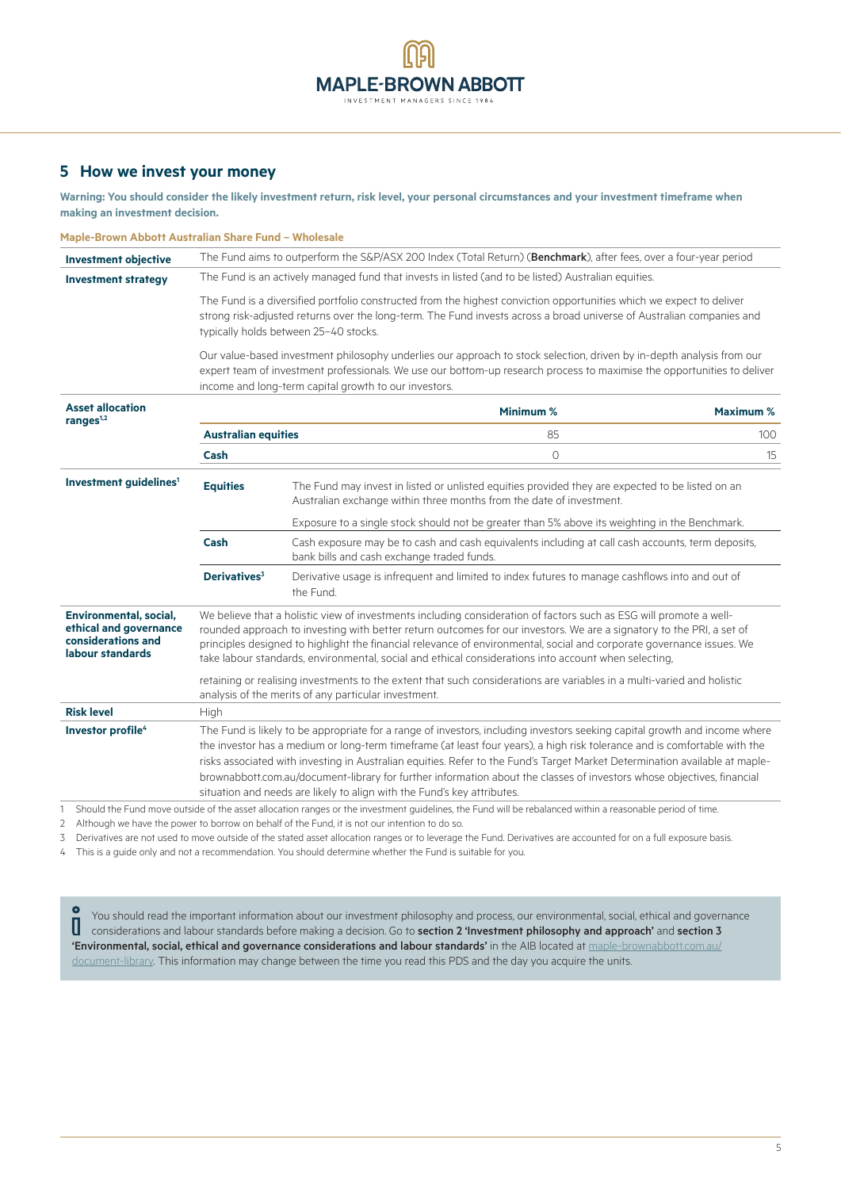# **MAPLE-BROWN ABBOTT** INVESTMENT MANAGERS SINCE 1984

# **5 How we invest your money**

**Warning: You should consider the likely investment return, risk level, your personal circumstances and your investment timeframe when making an investment decision.**

| Maple-Brown Abbott Australian Share Fund - Wholesale                                       |                                                                                                                                                                                                                                                                                                                                                                                                                                                                                                                                                                                             |                                                                                                                                                 |                                                                                                                                                                                                                                                                                                                                                                                                                                                                             |                  |  |
|--------------------------------------------------------------------------------------------|---------------------------------------------------------------------------------------------------------------------------------------------------------------------------------------------------------------------------------------------------------------------------------------------------------------------------------------------------------------------------------------------------------------------------------------------------------------------------------------------------------------------------------------------------------------------------------------------|-------------------------------------------------------------------------------------------------------------------------------------------------|-----------------------------------------------------------------------------------------------------------------------------------------------------------------------------------------------------------------------------------------------------------------------------------------------------------------------------------------------------------------------------------------------------------------------------------------------------------------------------|------------------|--|
| <b>Investment objective</b>                                                                | The Fund aims to outperform the S&P/ASX 200 Index (Total Return) (Benchmark), after fees, over a four-year period                                                                                                                                                                                                                                                                                                                                                                                                                                                                           |                                                                                                                                                 |                                                                                                                                                                                                                                                                                                                                                                                                                                                                             |                  |  |
| <b>Investment strategy</b>                                                                 |                                                                                                                                                                                                                                                                                                                                                                                                                                                                                                                                                                                             |                                                                                                                                                 | The Fund is an actively managed fund that invests in listed (and to be listed) Australian equities.                                                                                                                                                                                                                                                                                                                                                                         |                  |  |
|                                                                                            | The Fund is a diversified portfolio constructed from the highest conviction opportunities which we expect to deliver<br>strong risk-adjusted returns over the long-term. The Fund invests across a broad universe of Australian companies and<br>typically holds between 25-40 stocks.                                                                                                                                                                                                                                                                                                      |                                                                                                                                                 |                                                                                                                                                                                                                                                                                                                                                                                                                                                                             |                  |  |
|                                                                                            |                                                                                                                                                                                                                                                                                                                                                                                                                                                                                                                                                                                             | income and long-term capital growth to our investors.                                                                                           | Our value-based investment philosophy underlies our approach to stock selection, driven by in-depth analysis from our<br>expert team of investment professionals. We use our bottom-up research process to maximise the opportunities to deliver                                                                                                                                                                                                                            |                  |  |
| <b>Asset allocation</b><br>ranges $1,2$                                                    |                                                                                                                                                                                                                                                                                                                                                                                                                                                                                                                                                                                             |                                                                                                                                                 | Minimum %                                                                                                                                                                                                                                                                                                                                                                                                                                                                   | <b>Maximum %</b> |  |
|                                                                                            | <b>Australian equities</b>                                                                                                                                                                                                                                                                                                                                                                                                                                                                                                                                                                  |                                                                                                                                                 | 85                                                                                                                                                                                                                                                                                                                                                                                                                                                                          | 100              |  |
|                                                                                            | Cash                                                                                                                                                                                                                                                                                                                                                                                                                                                                                                                                                                                        |                                                                                                                                                 | $\Omega$                                                                                                                                                                                                                                                                                                                                                                                                                                                                    | 15               |  |
| Investment quidelines <sup>1</sup>                                                         | <b>Equities</b>                                                                                                                                                                                                                                                                                                                                                                                                                                                                                                                                                                             |                                                                                                                                                 | The Fund may invest in listed or unlisted equities provided they are expected to be listed on an<br>Australian exchange within three months from the date of investment.                                                                                                                                                                                                                                                                                                    |                  |  |
|                                                                                            |                                                                                                                                                                                                                                                                                                                                                                                                                                                                                                                                                                                             |                                                                                                                                                 | Exposure to a single stock should not be greater than 5% above its weighting in the Benchmark.                                                                                                                                                                                                                                                                                                                                                                              |                  |  |
|                                                                                            | Cash                                                                                                                                                                                                                                                                                                                                                                                                                                                                                                                                                                                        | Cash exposure may be to cash and cash equivalents including at call cash accounts, term deposits,<br>bank bills and cash exchange traded funds. |                                                                                                                                                                                                                                                                                                                                                                                                                                                                             |                  |  |
|                                                                                            | Derivatives <sup>3</sup>                                                                                                                                                                                                                                                                                                                                                                                                                                                                                                                                                                    | the Fund.                                                                                                                                       | Derivative usage is infrequent and limited to index futures to manage cashflows into and out of                                                                                                                                                                                                                                                                                                                                                                             |                  |  |
| Environmental, social,<br>ethical and governance<br>considerations and<br>labour standards |                                                                                                                                                                                                                                                                                                                                                                                                                                                                                                                                                                                             |                                                                                                                                                 | We believe that a holistic view of investments including consideration of factors such as ESG will promote a well-<br>rounded approach to investing with better return outcomes for our investors. We are a signatory to the PRI, a set of<br>principles designed to highlight the financial relevance of environmental, social and corporate governance issues. We<br>take labour standards, environmental, social and ethical considerations into account when selecting, |                  |  |
|                                                                                            | retaining or realising investments to the extent that such considerations are variables in a multi-varied and holistic<br>analysis of the merits of any particular investment.                                                                                                                                                                                                                                                                                                                                                                                                              |                                                                                                                                                 |                                                                                                                                                                                                                                                                                                                                                                                                                                                                             |                  |  |
| <b>Risk level</b>                                                                          | High                                                                                                                                                                                                                                                                                                                                                                                                                                                                                                                                                                                        |                                                                                                                                                 |                                                                                                                                                                                                                                                                                                                                                                                                                                                                             |                  |  |
| Investor profile <sup>4</sup>                                                              | The Fund is likely to be appropriate for a range of investors, including investors seeking capital growth and income where<br>the investor has a medium or long-term timeframe (at least four years), a high risk tolerance and is comfortable with the<br>risks associated with investing in Australian equities. Refer to the Fund's Target Market Determination available at maple-<br>brownabbott.com.au/document-library for further information about the classes of investors whose objectives, financial<br>situation and needs are likely to align with the Fund's key attributes. |                                                                                                                                                 |                                                                                                                                                                                                                                                                                                                                                                                                                                                                             |                  |  |
|                                                                                            |                                                                                                                                                                                                                                                                                                                                                                                                                                                                                                                                                                                             |                                                                                                                                                 | Should the Fund move outside of the asset allocation ranges or the investment quidelines the Fund will be rebalanced within a reasonable period of time                                                                                                                                                                                                                                                                                                                     |                  |  |

I move outside of the asset allocation ranges or the investment guidelines, the Fund will be rebalanced within a reasonable period of time

2 Although we have the power to borrow on behalf of the Fund, it is not our intention to do so.

3 Derivatives are not used to move outside of the stated asset allocation ranges or to leverage the Fund. Derivatives are accounted for on a full exposure basis.

4 This is a guide only and not a recommendation. You should determine whether the Fund is suitable for you.

 $\Omega$ You should read the important information about our investment philosophy and process, our environmental, social, ethical and governance U considerations and labour standards before making a decision. Go to section 2 'Investment philosophy and approach' and section 3 'Environmental, social, ethical and governance considerations and labour standards' in the AIB located at [maple-brownabbott.com.au/](http://www.maple-brownabbott.com.au/document-library) [document-library.](http://www.maple-brownabbott.com.au/document-library) This information may change between the time you read this PDS and the day you acquire the units.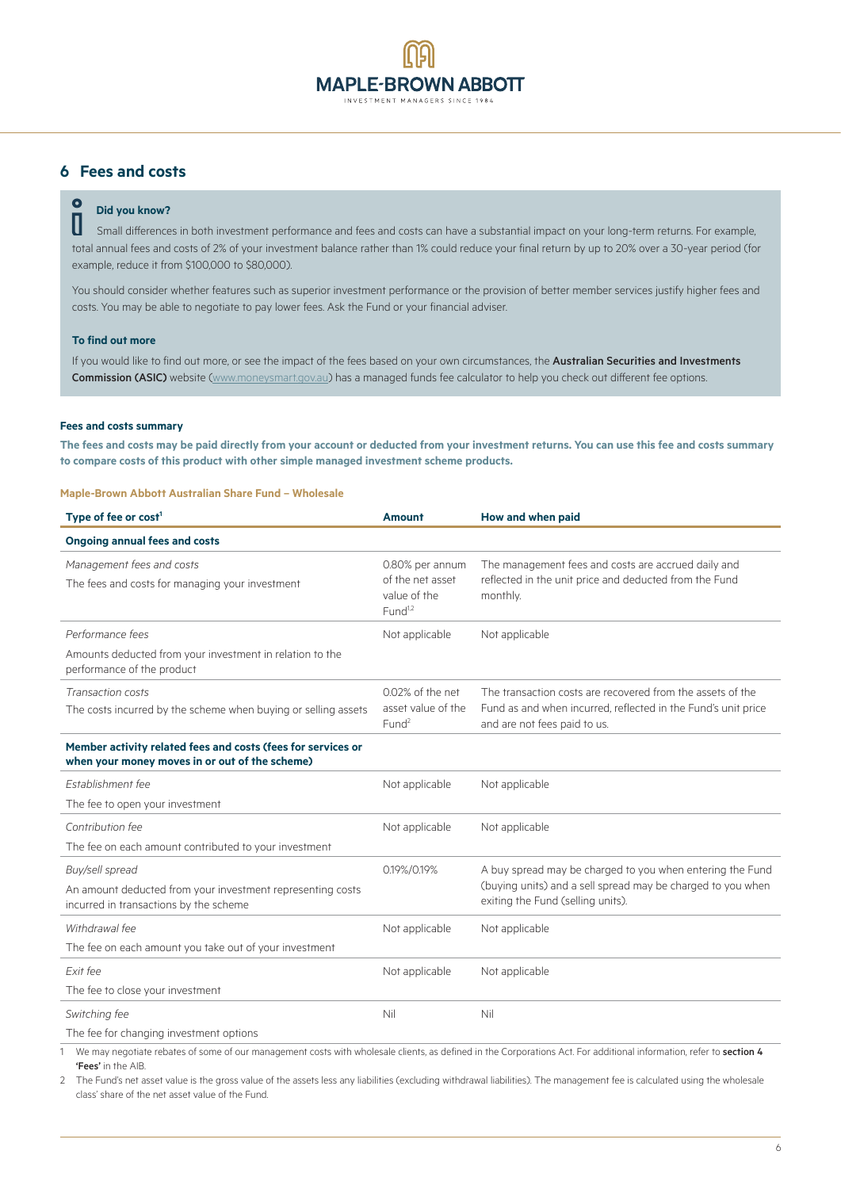# **MAPLE-BROWN ABBOTT** INVESTMENT MANAGERS SINCE 198

# **6 Fees and costs**

# **Did you know?**<br>
Small difference

 Small differences in both investment performance and fees and costs can have a substantial impact on your long-term returns. For example, total annual fees and costs of 2% of your investment balance rather than 1% could reduce your final return by up to 20% over a 30-year period (for example, reduce it from \$100,000 to \$80,000).

You should consider whether features such as superior investment performance or the provision of better member services justify higher fees and costs. You may be able to negotiate to pay lower fees. Ask the Fund or your financial adviser.

#### **To find out more**

If you would like to find out more, or see the impact of the fees based on your own circumstances, the Australian Securities and Investments Commission (ASIC) website ([www.moneysmart.gov.au\)](http://www.moneysmart.gov.au) has a managed funds fee calculator to help you check out different fee options.

#### **Fees and costs summary**

**The fees and costs may be paid directly from your account or deducted from your investment returns. You can use this fee and costs summary to compare costs of this product with other simple managed investment scheme products.**

#### **Maple-Brown Abbott Australian Share Fund – Wholesale**

| <b>Amount</b>                                                              | How and when paid                                                                                                                                             |
|----------------------------------------------------------------------------|---------------------------------------------------------------------------------------------------------------------------------------------------------------|
|                                                                            |                                                                                                                                                               |
| 0.80% per annum<br>of the net asset<br>value of the<br>Fund <sup>1,2</sup> | The management fees and costs are accrued daily and<br>reflected in the unit price and deducted from the Fund<br>monthly.                                     |
| Not applicable                                                             | Not applicable                                                                                                                                                |
|                                                                            |                                                                                                                                                               |
| 0.02% of the net<br>asset value of the<br>Fund <sup>2</sup>                | The transaction costs are recovered from the assets of the<br>Fund as and when incurred, reflected in the Fund's unit price<br>and are not fees paid to us.   |
|                                                                            |                                                                                                                                                               |
| Not applicable                                                             | Not applicable                                                                                                                                                |
|                                                                            |                                                                                                                                                               |
| Not applicable                                                             | Not applicable                                                                                                                                                |
|                                                                            |                                                                                                                                                               |
| 0.19%/0.19%                                                                | A buy spread may be charged to you when entering the Fund<br>(buying units) and a sell spread may be charged to you when<br>exiting the Fund (selling units). |
| Not applicable                                                             | Not applicable                                                                                                                                                |
|                                                                            |                                                                                                                                                               |
| Not applicable                                                             | Not applicable                                                                                                                                                |
|                                                                            |                                                                                                                                                               |
| Nil                                                                        | Nil                                                                                                                                                           |
|                                                                            | the first contract of the con-                                                                                                                                |
|                                                                            |                                                                                                                                                               |

1 We may negotiate rebates of some of our management costs with wholesale clients, as defined in the Corporations Act. For additional information, refer to section 4 'Fees' in the AIB.

2 The Fund's net asset value is the gross value of the assets less any liabilities (excluding withdrawal liabilities). The management fee is calculated using the wholesale class' share of the net asset value of the Fund.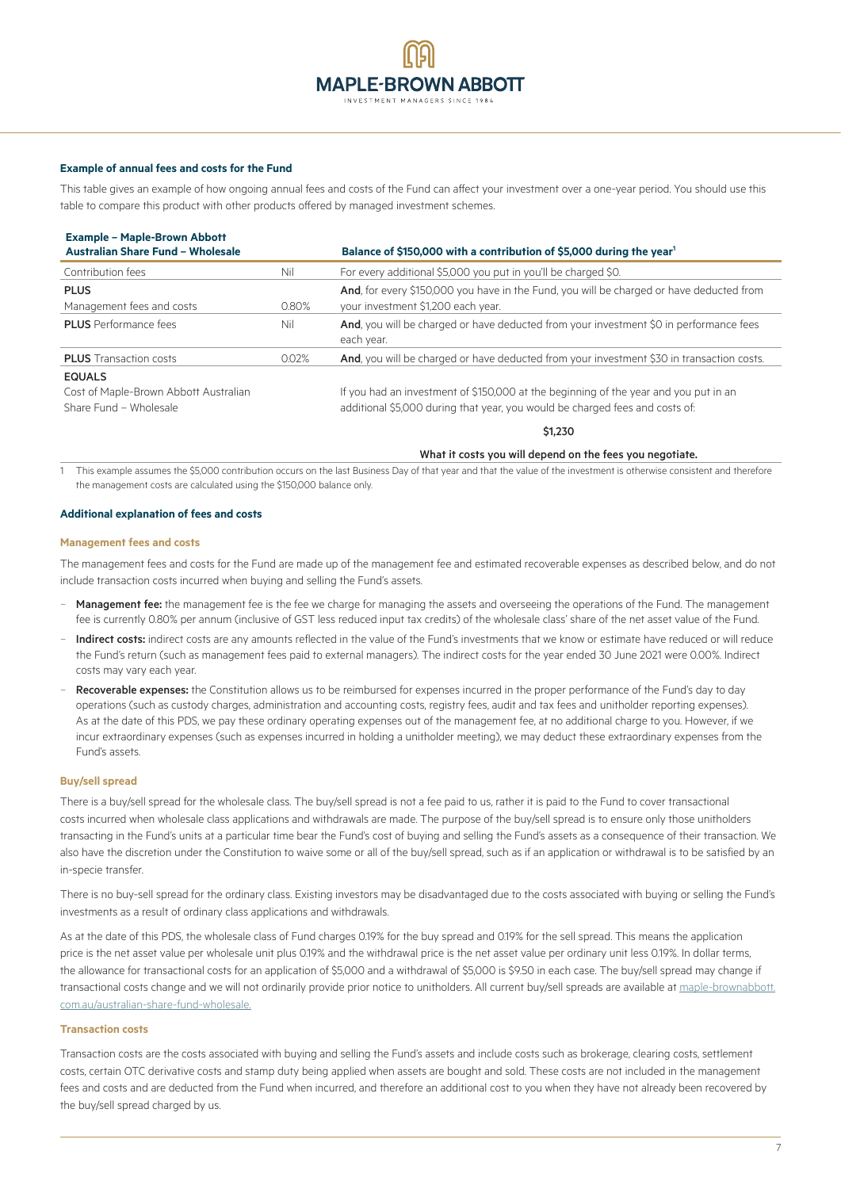#### **Example of annual fees and costs for the Fund**

This table gives an example of how ongoing annual fees and costs of the Fund can affect your investment over a one-year period. You should use this table to compare this product with other products offered by managed investment schemes.

| <b>Example - Maple-Brown Abbott</b><br><b>Australian Share Fund - Wholesale</b>  |       | Balance of \$150,000 with a contribution of \$5,000 during the year <sup>1</sup>                                                                                     |
|----------------------------------------------------------------------------------|-------|----------------------------------------------------------------------------------------------------------------------------------------------------------------------|
| Contribution fees                                                                | Nil   | For every additional \$5,000 you put in you'll be charged \$0.                                                                                                       |
| <b>PLUS</b><br>Management fees and costs                                         | 0.80% | And, for every \$150,000 you have in the Fund, you will be charged or have deducted from<br>your investment \$1,200 each year.                                       |
| <b>PLUS</b> Performance fees                                                     | Nil   | <b>And</b> , you will be charged or have deducted from your investment \$0 in performance fees<br>each year.                                                         |
| <b>PLUS</b> Transaction costs                                                    | 0.02% | And, you will be charged or have deducted from your investment \$30 in transaction costs.                                                                            |
| <b>EQUALS</b><br>Cost of Maple-Brown Abbott Australian<br>Share Fund - Wholesale |       | If you had an investment of \$150,000 at the beginning of the year and you put in an<br>additional \$5,000 during that year, you would be charged fees and costs of: |
|                                                                                  |       | \$1,230                                                                                                                                                              |

What it costs you will depend on the fees you negotiate.

1 This example assumes the \$5,000 contribution occurs on the last Business Day of that year and that the value of the investment is otherwise consistent and therefore the management costs are calculated using the \$150,000 balance only.

#### **Additional explanation of fees and costs**

#### **Management fees and costs**

The management fees and costs for the Fund are made up of the management fee and estimated recoverable expenses as described below, and do not include transaction costs incurred when buying and selling the Fund's assets.

- Management fee: the management fee is the fee we charge for managing the assets and overseeing the operations of the Fund. The management fee is currently 0.80% per annum (inclusive of GST less reduced input tax credits) of the wholesale class' share of the net asset value of the Fund.
- Indirect costs: indirect costs are any amounts reflected in the value of the Fund's investments that we know or estimate have reduced or will reduce the Fund's return (such as management fees paid to external managers). The indirect costs for the year ended 30 June 2021 were 0.00%. Indirect costs may vary each year.
- Recoverable expenses: the Constitution allows us to be reimbursed for expenses incurred in the proper performance of the Fund's day to day operations (such as custody charges, administration and accounting costs, registry fees, audit and tax fees and unitholder reporting expenses). As at the date of this PDS, we pay these ordinary operating expenses out of the management fee, at no additional charge to you. However, if we incur extraordinary expenses (such as expenses incurred in holding a unitholder meeting), we may deduct these extraordinary expenses from the Fund's assets.

#### **Buy/sell spread**

There is a buy/sell spread for the wholesale class. The buy/sell spread is not a fee paid to us, rather it is paid to the Fund to cover transactional costs incurred when wholesale class applications and withdrawals are made. The purpose of the buy/sell spread is to ensure only those unitholders transacting in the Fund's units at a particular time bear the Fund's cost of buying and selling the Fund's assets as a consequence of their transaction. We also have the discretion under the Constitution to waive some or all of the buy/sell spread, such as if an application or withdrawal is to be satisfied by an in-specie transfer.

There is no buy-sell spread for the ordinary class. Existing investors may be disadvantaged due to the costs associated with buying or selling the Fund's investments as a result of ordinary class applications and withdrawals.

As at the date of this PDS, the wholesale class of Fund charges 0.19% for the buy spread and 0.19% for the sell spread. This means the application price is the net asset value per wholesale unit plus 0.19% and the withdrawal price is the net asset value per ordinary unit less 0.19%. In dollar terms, the allowance for transactional costs for an application of \$5,000 and a withdrawal of \$5,000 is \$9.50 in each case. The buy/sell spread may change if transactional costs change and we will not ordinarily provide prior notice to unitholders. All current buy/sell spreads are available at [maple-brownabbott.](http://www.maple-brownabbott.com.au/australian-share-fund-wholesale) [com.au/australian-share-fund-wholesale.](http://www.maple-brownabbott.com.au/australian-share-fund-wholesale)

#### **Transaction costs**

Transaction costs are the costs associated with buying and selling the Fund's assets and include costs such as brokerage, clearing costs, settlement costs, certain OTC derivative costs and stamp duty being applied when assets are bought and sold. These costs are not included in the management fees and costs and are deducted from the Fund when incurred, and therefore an additional cost to you when they have not already been recovered by the buy/sell spread charged by us.